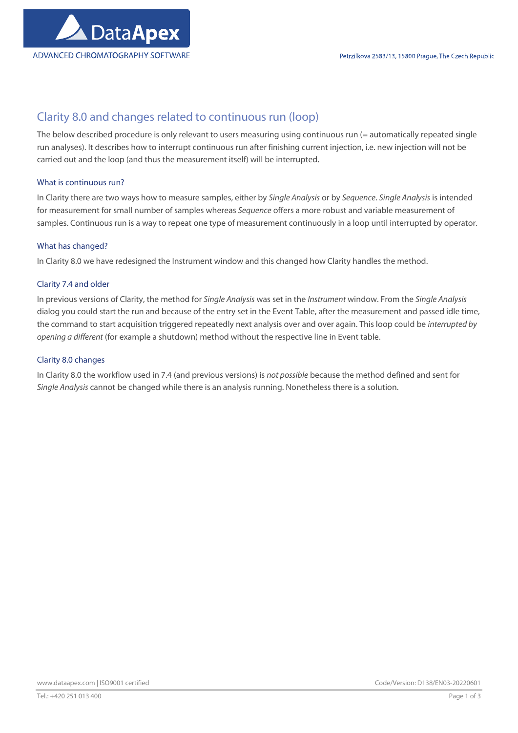

# Clarity 8.0 and changes related to continuous run (loop)

The below described procedure is only relevant to users measuring using continuous run (= automatically repeated single run analyses). It describes how to interrupt continuous run after finishing current injection, i.e. new injection will not be carried out and the loop (and thus the measurement itself) will be interrupted.

# What is continuous run?

In Clarity there are two ways how to measure samples, either by Single Analysis or by Sequence. Single Analysis is intended for measurement for small number of samples whereas Sequence offers a more robust and variable measurement of samples. Continuous run is a way to repeat one type of measurement continuously in a loop until interrupted by operator.

# What has changed?

In Clarity 8.0 we have redesigned the Instrument window and this changed how Clarity handles the method.

# Clarity 7.4 and older

In previous versions of Clarity, the method for Single Analysis was set in the Instrument window. From the Single Analysis dialog you could start the run and because of the entry set in the Event Table, after the measurement and passed idle time, the command to start acquisition triggered repeatedly next analysis over and over again. This loop could be interrupted by opening a different (for example a shutdown) method without the respective line in Event table.

# Clarity 8.0 changes

In Clarity 8.0 the workflow used in 7.4 (and previous versions) is not possible because the method defined and sent for Single Analysis cannot be changed while there is an analysis running. Nonetheless there is a solution.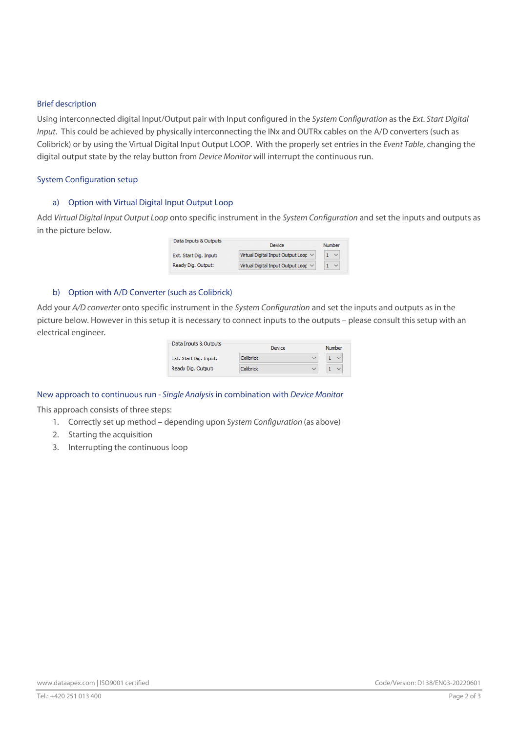#### Brief description

Using interconnected digital Input/Output pair with Input configured in the System Configuration as the Ext. Start Digital Input. This could be achieved by physically interconnecting the INx and OUTRx cables on the A/D converters (such as Colibrick) or by using the Virtual Digital Input Output LOOP. With the properly set entries in the Event Table, changing the digital output state by the relay button from Device Monitor will interrupt the continuous run.

# System Configuration setup

# a) Option with Virtual Digital Input Output Loop

Add Virtual Digital Input Output Loop onto specific instrument in the System Configuration and set the inputs and outputs as in the picture below.

| Data Inputs & Outputs  | Device                              | Number       |
|------------------------|-------------------------------------|--------------|
| Ext. Start Dig. Input: | Virtual Digital Input Output Loop V | $\checkmark$ |
| Ready Dig. Output:     | Virtual Digital Input Output Loop V | $\checkmark$ |

# b) Option with A/D Converter (such as Colibrick)

Add your A/D converter onto specific instrument in the System Configuration and set the inputs and outputs as in the picture below. However in this setup it is necessary to connect inputs to the outputs – please consult this setup with an electrical engineer.

| Data Inputs & Outputs  | Device    |              | Number       |
|------------------------|-----------|--------------|--------------|
| Ext. Start Dig. Input: | Colibrick | $\checkmark$ | $\checkmark$ |
| Ready Dig. Output:     | Colibrick | $\checkmark$ | $\checkmark$ |

# New approach to continuous run - Single Analysis in combination with Device Monitor

This approach consists of three steps:

- 1. Correctly set up method depending upon System Configuration (as above)
- 2. Starting the acquisition
- 3. Interrupting the continuous loop